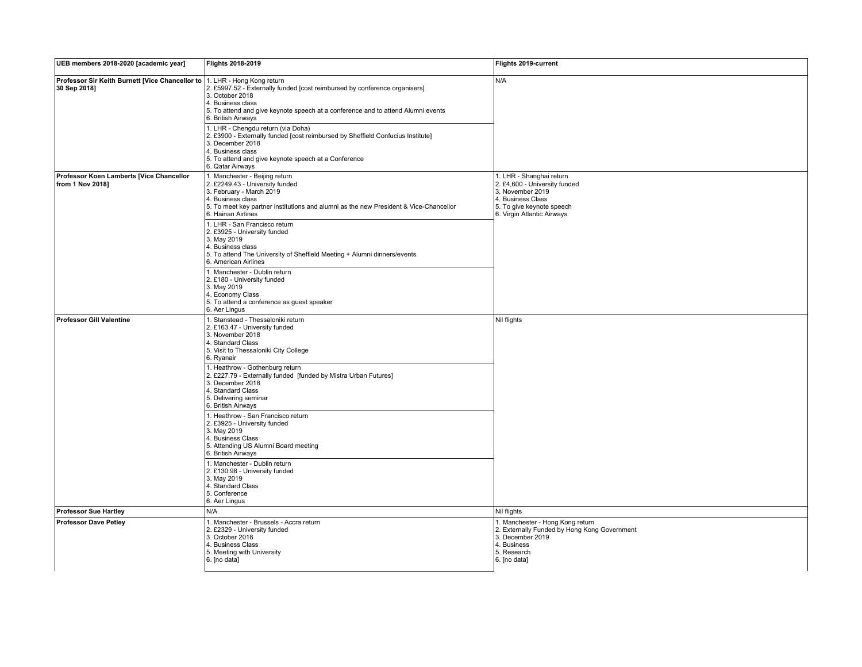| UEB members 2018-2020 [academic year]                           | Flights 2018-2019                                                                                                                                                                                                                                         | Flights 2019-current                                                                                                                                          |
|-----------------------------------------------------------------|-----------------------------------------------------------------------------------------------------------------------------------------------------------------------------------------------------------------------------------------------------------|---------------------------------------------------------------------------------------------------------------------------------------------------------------|
| Professor Sir Keith Burnett [Vice Chancellor to<br>30 Sep 2018] | 1. LHR - Hong Kong return<br>2. £5997.52 - Externally funded [cost reimbursed by conference organisers]<br>3. October 2018<br>4. Business class<br>5. To attend and give keynote speech at a conference and to attend Alumni events<br>6. British Airways | N/A                                                                                                                                                           |
|                                                                 | 1. LHR - Chengdu return (via Doha)<br>2. £3900 - Externally funded [cost reimbursed by Sheffield Confucius Institute]<br>3. December 2018<br>4. Business class<br>5. To attend and give keynote speech at a Conference<br>6. Qatar Airways                |                                                                                                                                                               |
| Professor Koen Lamberts [Vice Chancellor<br>from 1 Nov 2018]    | 1. Manchester - Beijing return<br>2. £2249.43 - University funded<br>3. February - March 2019<br>4. Business class<br>5. To meet key partner institutions and alumni as the new President & Vice-Chancellor<br>6. Hainan Airlines                         | 1. LHR - Shanghai return<br>2. £4,600 - University funded<br>3. November 2019<br>4. Business Class<br>5. To give keynote speech<br>6. Virgin Atlantic Airways |
|                                                                 | 1. LHR - San Francisco return<br>2. £3925 - University funded<br>3. May 2019<br>4. Business class<br>5. To attend The University of Sheffield Meeting + Alumni dinners/events<br>6. American Airlines                                                     |                                                                                                                                                               |
|                                                                 | 1. Manchester - Dublin return<br>2. £180 - University funded<br>3. May 2019<br>4. Economy Class<br>5. To attend a conference as guest speaker<br>6. Aer Lingus                                                                                            |                                                                                                                                                               |
| Professor Gill Valentine                                        | 1. Stanstead - Thessaloniki return<br>2. £163.47 - University funded<br>3. November 2018<br>4. Standard Class<br>5. Visit to Thessaloniki City College<br>6. Ryanair                                                                                      | Nil flights                                                                                                                                                   |
|                                                                 | 1. Heathrow - Gothenburg return<br>2. £227.79 - Externally funded [funded by Mistra Urban Futures]<br>3. December 2018<br>4. Standard Class<br>5. Delivering seminar<br>6. British Airways                                                                |                                                                                                                                                               |
|                                                                 | 1. Heathrow - San Francisco return<br>2. £3925 - University funded<br>3. May 2019<br>4. Business Class<br>5. Attending US Alumni Board meeting<br>6. British Airways                                                                                      |                                                                                                                                                               |
|                                                                 | 1. Manchester - Dublin return<br>2. £130.98 - University funded<br>3. May 2019<br>4. Standard Class<br>5. Conference<br>6. Aer Lingus                                                                                                                     |                                                                                                                                                               |
| <b>Professor Sue Hartley</b>                                    | N/A                                                                                                                                                                                                                                                       | Nil flights                                                                                                                                                   |
| <b>Professor Dave Petley</b>                                    | 1. Manchester - Brussels - Accra return<br>2. £2329 - University funded<br>3. October 2018<br>4. Business Class<br>5. Meeting with University<br>6. [no data]                                                                                             | 1. Manchester - Hong Kong return<br>2. Externally Funded by Hong Kong Government<br>3. December 2019<br>4. Business<br>5. Research<br>6. [no data]            |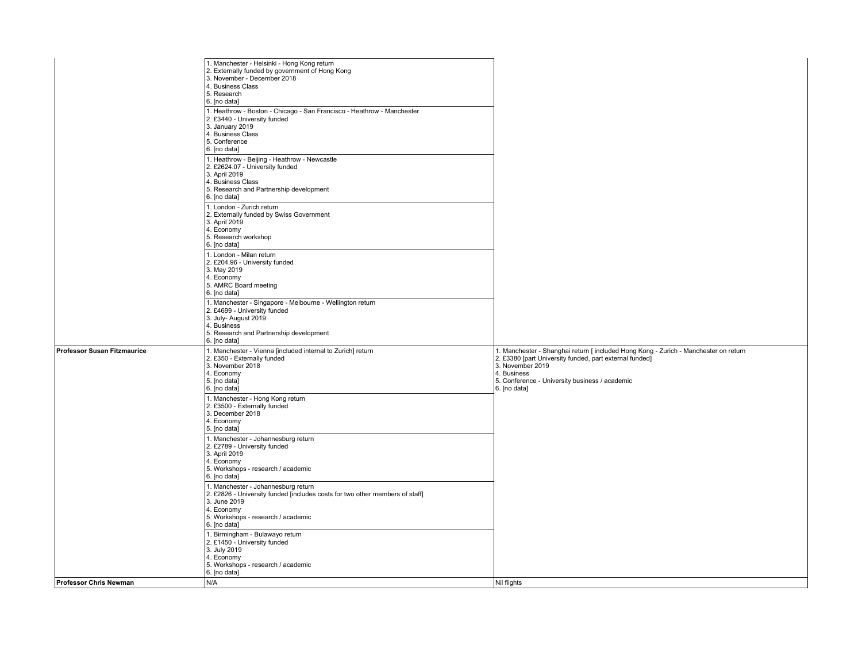| 6. [no data]<br><b>Professor Susan Fitzmaurice</b><br>1. Manchester - Vienna [included internal to Zurich] return<br>1. Manchester - Shanghai return [ included Hong Kong - Zurich - Manchester on return<br>2. £350 - Externally funded<br>2. £3380 [part University funded, part external funded]<br>3. November 2018<br>3. November 2019<br>4. Business<br>4. Economy<br>5. [no data]<br>5. Conference - University business / academic<br>6. [no data]<br>6. [no data]<br>1. Manchester - Hong Kong return<br>2. £3500 - Externally funded<br>3. December 2018<br>4. Economy<br>5. [no data]<br>1. Manchester - Johannesburg return<br>2. £2789 - University funded<br>3. April 2019<br>4. Economy<br>5. Workshops - research / academic<br>6. [no data]<br>1. Manchester - Johannesburg return<br>2. £2826 - University funded [includes costs for two other members of staff]<br>3. June 2019<br>4. Economy<br>5. Workshops - research / academic<br>6. [no data]<br>1. Birmingham - Bulawayo return<br>2. £1450 - University funded<br>3. July 2019<br>4. Economy<br>5. Workshops - research / academic<br>6. [no data]<br>N/A<br>Nil flights<br>Professor Chris Newman | 1. Manchester - Helsinki - Hong Kong return<br>2. Externally funded by government of Hong Kong<br>3. November - December 2018<br>4. Business Class<br>5. Research<br>6. [no data]<br>1. Heathrow - Boston - Chicago - San Francisco - Heathrow - Manchester<br>2. £3440 - University funded<br>3. January 2019<br>4. Business Class<br>5. Conference<br>6. [no data]<br>1. Heathrow - Beijing - Heathrow - Newcastle<br>2. £2624.07 - University funded<br>3. April 2019<br>4. Business Class<br>5. Research and Partnership development<br>6. [no data]<br>1. London - Zurich return<br>2. Externally funded by Swiss Government<br>3. April 2019<br>4. Economy<br>5. Research workshop<br>6. [no data]<br>1. London - Milan return<br>2. £204.96 - University funded<br>3. May 2019<br>4. Economy<br>5. AMRC Board meeting<br>6. [no data]<br>1. Manchester - Singapore - Melbourne - Wellington return<br>2. £4699 - University funded<br>3. July- August 2019<br>4. Business<br>5. Research and Partnership development |  |
|--------------------------------------------------------------------------------------------------------------------------------------------------------------------------------------------------------------------------------------------------------------------------------------------------------------------------------------------------------------------------------------------------------------------------------------------------------------------------------------------------------------------------------------------------------------------------------------------------------------------------------------------------------------------------------------------------------------------------------------------------------------------------------------------------------------------------------------------------------------------------------------------------------------------------------------------------------------------------------------------------------------------------------------------------------------------------------------------------------------------------------------------------------------------------------|-----------------------------------------------------------------------------------------------------------------------------------------------------------------------------------------------------------------------------------------------------------------------------------------------------------------------------------------------------------------------------------------------------------------------------------------------------------------------------------------------------------------------------------------------------------------------------------------------------------------------------------------------------------------------------------------------------------------------------------------------------------------------------------------------------------------------------------------------------------------------------------------------------------------------------------------------------------------------------------------------------------------------------|--|
|                                                                                                                                                                                                                                                                                                                                                                                                                                                                                                                                                                                                                                                                                                                                                                                                                                                                                                                                                                                                                                                                                                                                                                                |                                                                                                                                                                                                                                                                                                                                                                                                                                                                                                                                                                                                                                                                                                                                                                                                                                                                                                                                                                                                                             |  |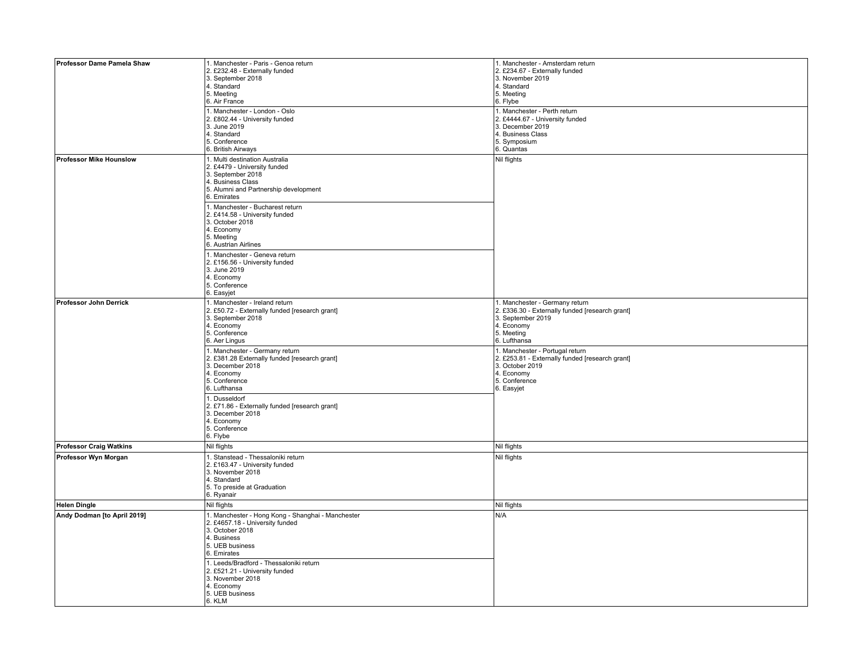| Professor Dame Pamela Shaw     | 1. Manchester - Paris - Genoa return<br>2. £232.48 - Externally funded<br>3. September 2018<br>4. Standard<br>5. Meeting<br>6. Air France<br>1. Manchester - London - Oslo<br>2. £802.44 - University funded<br>3. June 2019<br>4. Standard<br>5. Conference                                                  | 1. Manchester - Amsterdam return<br>2. £234.67 - Externally funded<br>3. November 2019<br>4. Standard<br>5. Meeting<br>6. Flybe<br>1. Manchester - Perth return<br>2. £4444.67 - University funded<br>3. December 2019<br>4. Business Class<br>5. Symposium |
|--------------------------------|---------------------------------------------------------------------------------------------------------------------------------------------------------------------------------------------------------------------------------------------------------------------------------------------------------------|-------------------------------------------------------------------------------------------------------------------------------------------------------------------------------------------------------------------------------------------------------------|
|                                | 6. British Airways                                                                                                                                                                                                                                                                                            | 6. Quantas                                                                                                                                                                                                                                                  |
| <b>Professor Mike Hounslow</b> | 1. Multi destination Australia<br>2. £4479 - University funded<br>3. September 2018<br>4. Business Class<br>5. Alumni and Partnership development<br>6. Emirates<br>1. Manchester - Bucharest return<br>2. £414.58 - University funded<br>3. October 2018<br>4. Economy<br>5. Meeting<br>6. Austrian Airlines | Nil flights                                                                                                                                                                                                                                                 |
|                                | 1. Manchester - Geneva return<br>2. £156.56 - University funded<br>3. June 2019<br>4. Economy<br>5. Conference<br>6. Easyjet                                                                                                                                                                                  |                                                                                                                                                                                                                                                             |
| Professor John Derrick         | 1. Manchester - Ireland return<br>2. £50.72 - Externally funded [research grant]<br>3. September 2018<br>4. Economy<br>5. Conference<br>6. Aer Lingus                                                                                                                                                         | 1. Manchester - Germany return<br>2. £336.30 - Externally funded [research grant]<br>3. September 2019<br>4. Economy<br>5. Meeting<br>6. Lufthansa                                                                                                          |
|                                | 1. Manchester - Germany return<br>2. £381.28 Externally funded [research grant]<br>3. December 2018<br>4. Economy<br>5. Conference<br>6. Lufthansa                                                                                                                                                            | 1. Manchester - Portugal return<br>2. £253.81 - Externally funded [research grant]<br>3. October 2019<br>4. Economy<br>5. Conference<br>6. Easyjet                                                                                                          |
|                                | 1. Dusseldorf<br>2. £71.86 - Externally funded [research grant]<br>3. December 2018<br>4. Economy<br>5. Conference<br>6. Flybe                                                                                                                                                                                |                                                                                                                                                                                                                                                             |
| <b>Professor Craig Watkins</b> | Nil flights                                                                                                                                                                                                                                                                                                   | Nil flights                                                                                                                                                                                                                                                 |
| Professor Wyn Morgan           | 1. Stanstead - Thessaloniki return<br>2. £163.47 - University funded<br>3. November 2018<br>4. Standard<br>5. To preside at Graduation<br>6. Ryanair                                                                                                                                                          | Nil flights                                                                                                                                                                                                                                                 |
| <b>Helen Dingle</b>            | Nil flights                                                                                                                                                                                                                                                                                                   | Nil flights                                                                                                                                                                                                                                                 |
| Andy Dodman [to April 2019]    | 1. Manchester - Hong Kong - Shanghai - Manchester<br>2. £4657.18 - University funded<br>3. October 2018<br>4. Business<br>5. UEB business<br>6. Emirates<br>1. Leeds/Bradford - Thessaloniki return<br>2. £521.21 - University funded<br>3. November 2018<br>4. Economy<br>5. UEB business<br>6. KLM          | N/A                                                                                                                                                                                                                                                         |